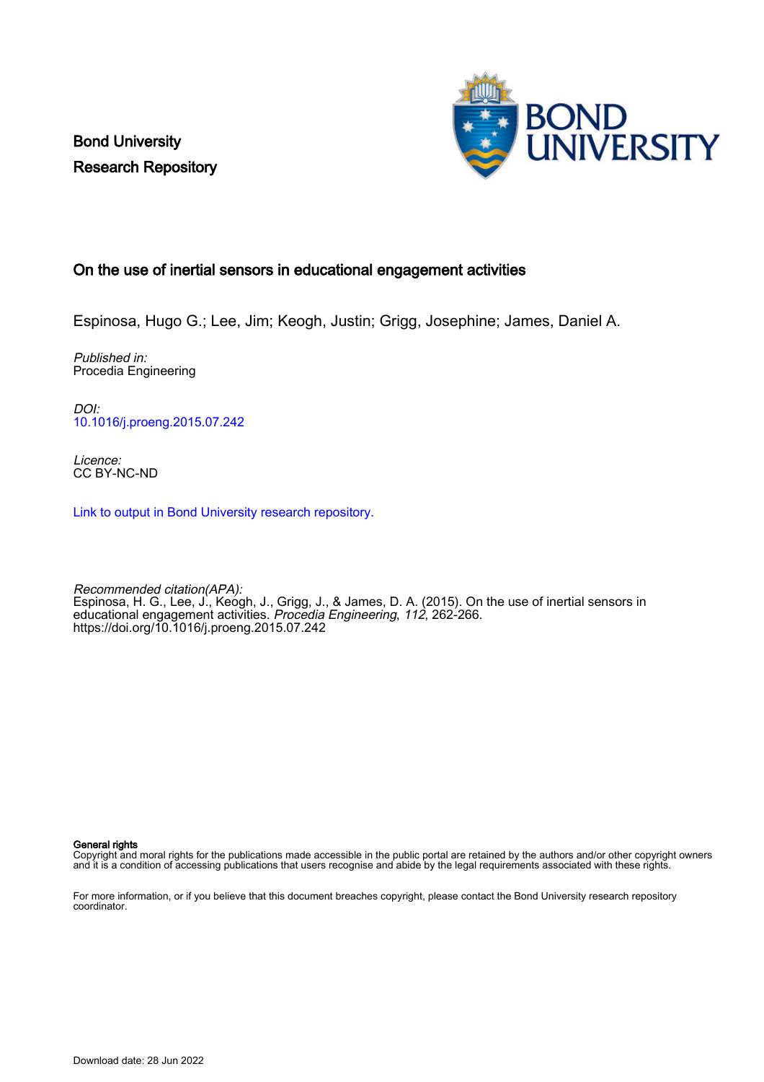Bond University Research Repository



# On the use of inertial sensors in educational engagement activities

Espinosa, Hugo G.; Lee, Jim; Keogh, Justin; Grigg, Josephine; James, Daniel A.

Published in: Procedia Engineering

DOI: [10.1016/j.proeng.2015.07.242](https://doi.org/10.1016/j.proeng.2015.07.242)

Licence: CC BY-NC-ND

[Link to output in Bond University research repository.](https://research.bond.edu.au/en/publications/1dc04c40-4be1-466f-a130-269d6e89b636)

Recommended citation(APA): Espinosa, H. G., Lee, J., Keogh, J., Grigg, J., & James, D. A. (2015). On the use of inertial sensors in educational engagement activities. Procedia Engineering, 112, 262-266. <https://doi.org/10.1016/j.proeng.2015.07.242>

General rights

Copyright and moral rights for the publications made accessible in the public portal are retained by the authors and/or other copyright owners and it is a condition of accessing publications that users recognise and abide by the legal requirements associated with these rights.

For more information, or if you believe that this document breaches copyright, please contact the Bond University research repository coordinator.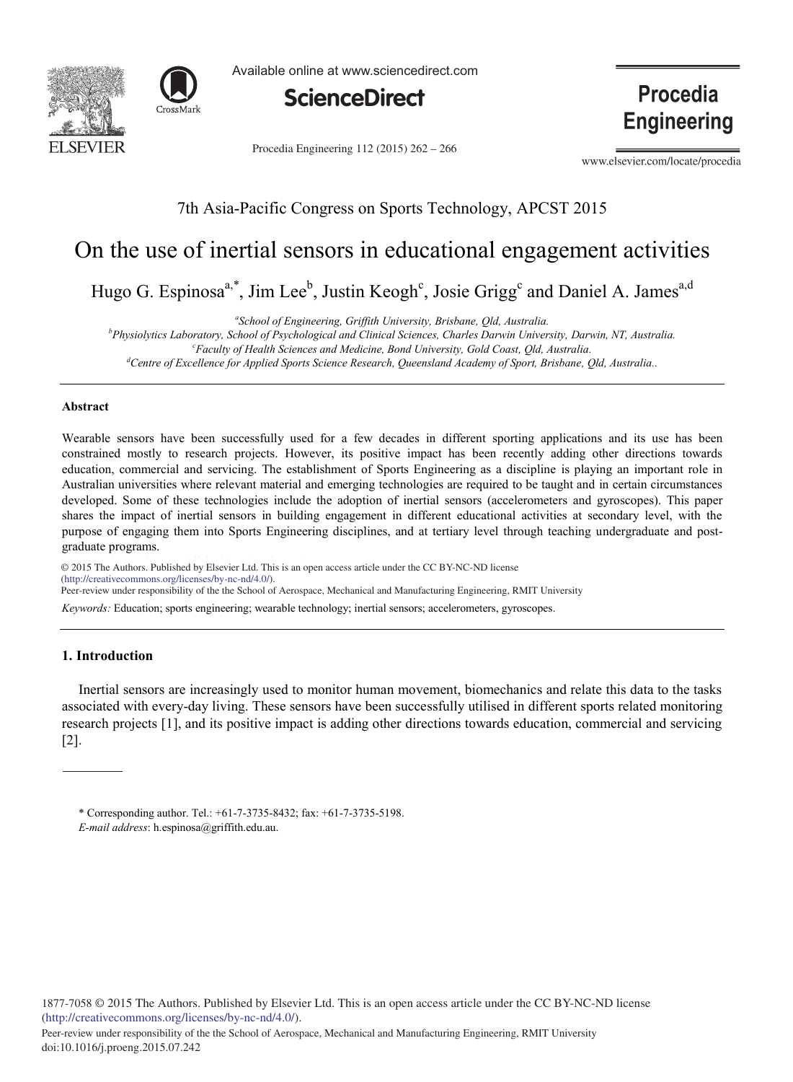



Available online at www.sciencedirect.com



Procedia Engineering 112 (2015) 262 - 266

**Procedia Engineering** 

www.elsevier.com/locate/procedia

# 7th Asia-Pacific Congress on Sports Technology, APCST 2015

# On the use of inertial sensors in educational engagement activities

Hugo G. Espinosa<sup>a,\*</sup>, Jim Lee<sup>b</sup>, Justin Keogh<sup>c</sup>, Josie Grigg<sup>c</sup> and Daniel A. James<sup>a,d</sup>

*a School of Engineering, Griffith University, Brisbane, Qld, Australia.*

*b Physiolytics Laboratory, School of Psychological and Clinical Sciences, Charles Darwin University, Darwin, NT, Australia. c*

*Faculty of Health Sciences and Medicine, Bond University, Gold Coast, Qld, Australia. d*

*Centre of Excellence for Applied Sports Science Research, Queensland Academy of Sport, Brisbane, Qld, Australia..* 

# **Abstract**

Wearable sensors have been successfully used for a few decades in different sporting applications and its use has been constrained mostly to research projects. However, its positive impact has been recently adding other directions towards education, commercial and servicing. The establishment of Sports Engineering as a discipline is playing an important role in Australian universities where relevant material and emerging technologies are required to be taught and in certain circumstances developed. Some of these technologies include the adoption of inertial sensors (accelerometers and gyroscopes). This paper shares the impact of inertial sensors in building engagement in different educational activities at secondary level, with the purpose of engaging them into Sports Engineering disciplines, and at tertiary level through teaching undergraduate and postgraduate programs.

© 2015 The Authors. Published by Elsevier Ltd. © 2015 The Authors. Published by Elsevier Ltd. This is an open access article under the CC BY-NC-ND license (http://creativecommons.org/licenses/by-nc-nd/4.0/). Peer-review under responsibility of the the School of Aerospace, Mechanical and Manufacturing Engineering, RMIT University

*Keywords:* Education; sports engineering; wearable technology; inertial sensors; accelerometers, gyroscopes.

# **1. Introduction**

doi: 10.1016/j.proeng.2015.07.242

Inertial sensors are increasingly used to monitor human movement, biomechanics and relate this data to the tasks associated with every-day living. These sensors have been successfully utilised in different sports related monitoring research projects [1], and its positive impact is adding other directions towards education, commercial and servicing [2].

<sup>\*</sup> Corresponding author. Tel.: +61-7-3735-8432; fax: +61-7-3735-5198. *E-mail address*: h.espinosa@griffith.edu.au.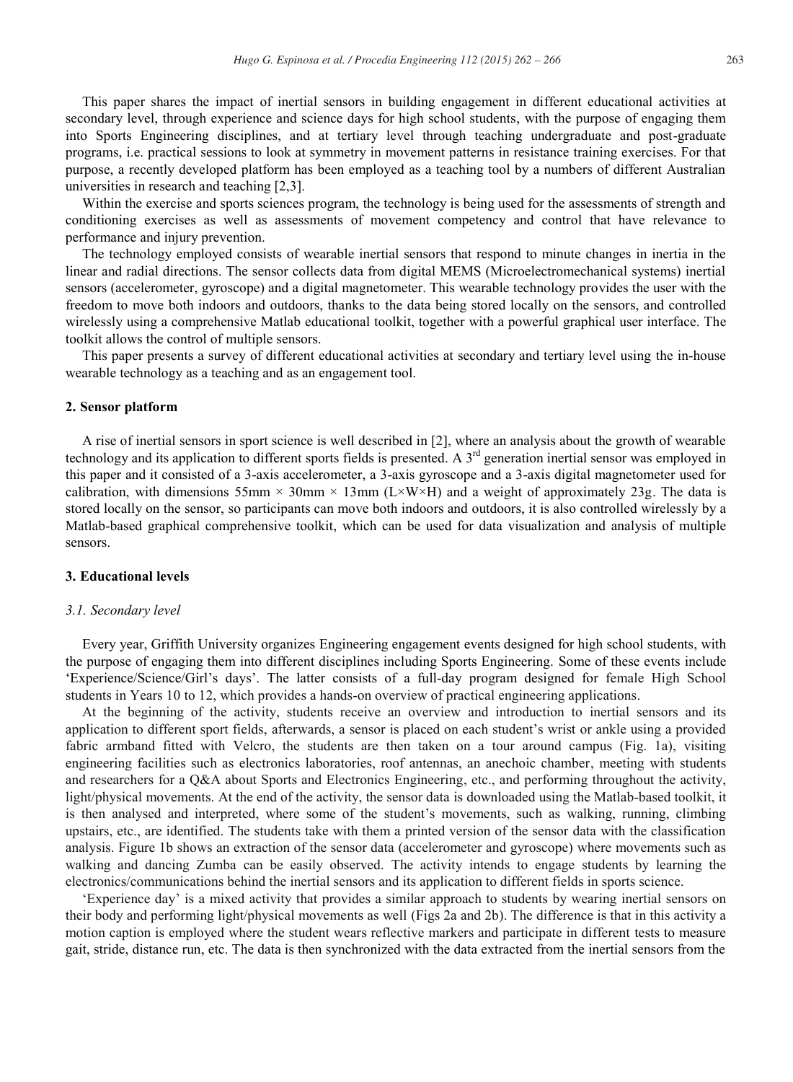This paper shares the impact of inertial sensors in building engagement in different educational activities at secondary level, through experience and science days for high school students, with the purpose of engaging them into Sports Engineering disciplines, and at tertiary level through teaching undergraduate and post-graduate programs, i.e. practical sessions to look at symmetry in movement patterns in resistance training exercises. For that purpose, a recently developed platform has been employed as a teaching tool by a numbers of different Australian universities in research and teaching [2,3].

Within the exercise and sports sciences program, the technology is being used for the assessments of strength and conditioning exercises as well as assessments of movement competency and control that have relevance to performance and injury prevention.

The technology employed consists of wearable inertial sensors that respond to minute changes in inertia in the linear and radial directions. The sensor collects data from digital MEMS (Microelectromechanical systems) inertial sensors (accelerometer, gyroscope) and a digital magnetometer. This wearable technology provides the user with the freedom to move both indoors and outdoors, thanks to the data being stored locally on the sensors, and controlled wirelessly using a comprehensive Matlab educational toolkit, together with a powerful graphical user interface. The toolkit allows the control of multiple sensors.

This paper presents a survey of different educational activities at secondary and tertiary level using the in-house wearable technology as a teaching and as an engagement tool.

#### **2. Sensor platform**

A rise of inertial sensors in sport science is well described in [2], where an analysis about the growth of wearable technology and its application to different sports fields is presented. A  $3<sup>rd</sup>$  generation inertial sensor was employed in this paper and it consisted of a 3-axis accelerometer, a 3-axis gyroscope and a 3-axis digital magnetometer used for calibration, with dimensions 55mm  $\times$  30mm  $\times$  13mm (L $\times$ W $\times$ H) and a weight of approximately 23g. The data is stored locally on the sensor, so participants can move both indoors and outdoors, it is also controlled wirelessly by a Matlab-based graphical comprehensive toolkit, which can be used for data visualization and analysis of multiple sensors.

# **3. Educational levels**

#### *3.1. Secondary level*

Every year, Griffith University organizes Engineering engagement events designed for high school students, with the purpose of engaging them into different disciplines including Sports Engineering. Some of these events include 'Experience/Science/Girl's days'. The latter consists of a full-day program designed for female High School students in Years 10 to 12, which provides a hands-on overview of practical engineering applications.

At the beginning of the activity, students receive an overview and introduction to inertial sensors and its application to different sport fields, afterwards, a sensor is placed on each student's wrist or ankle using a provided fabric armband fitted with Velcro, the students are then taken on a tour around campus (Fig. 1a), visiting engineering facilities such as electronics laboratories, roof antennas, an anechoic chamber, meeting with students and researchers for a Q&A about Sports and Electronics Engineering, etc., and performing throughout the activity, light/physical movements. At the end of the activity, the sensor data is downloaded using the Matlab-based toolkit, it is then analysed and interpreted, where some of the student's movements, such as walking, running, climbing upstairs, etc., are identified. The students take with them a printed version of the sensor data with the classification analysis. Figure 1b shows an extraction of the sensor data (accelerometer and gyroscope) where movements such as walking and dancing Zumba can be easily observed. The activity intends to engage students by learning the electronics/communications behind the inertial sensors and its application to different fields in sports science.

'Experience day' is a mixed activity that provides a similar approach to students by wearing inertial sensors on their body and performing light/physical movements as well (Figs 2a and 2b). The difference is that in this activity a motion caption is employed where the student wears reflective markers and participate in different tests to measure gait, stride, distance run, etc. The data is then synchronized with the data extracted from the inertial sensors from the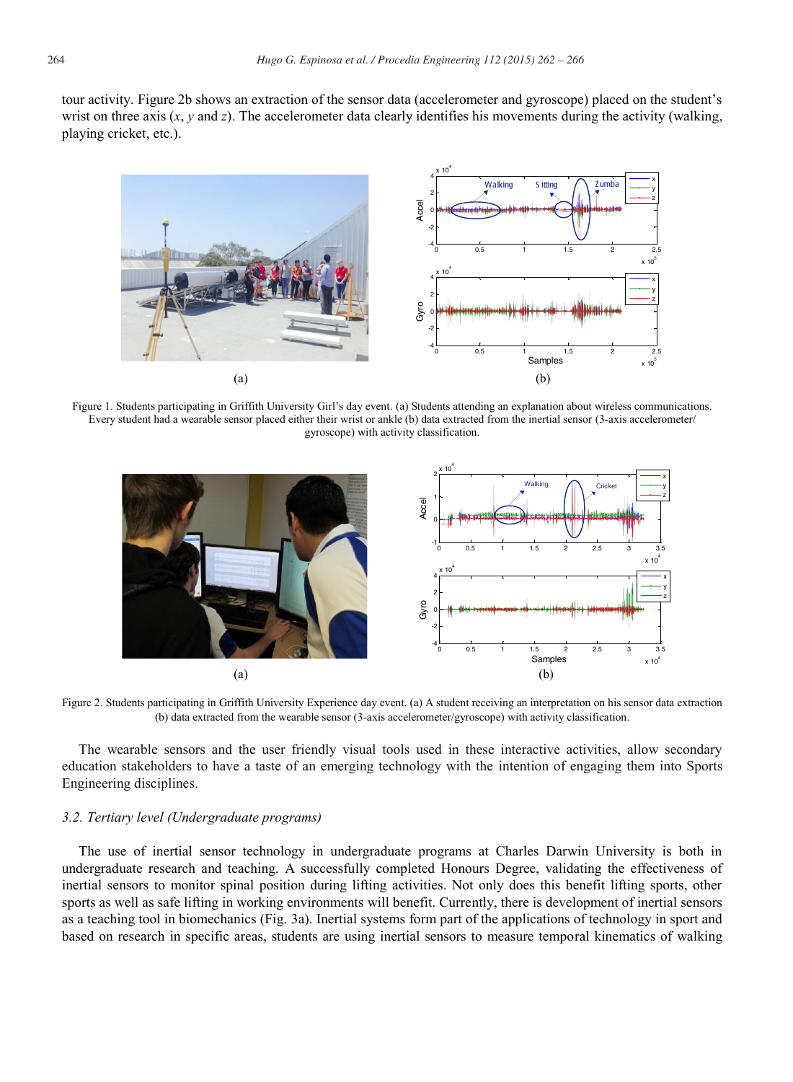tour activity. Figure 2b shows an extraction of the sensor data (accelerometer and gyroscope) placed on the student's wrist on three axis (*x*, *y* and *z*). The accelerometer data clearly identifies his movements during the activity (walking, playing cricket, etc.).



Figure 1. Students participating in Griffith University Girl's day event. (a) Students attending an explanation about wireless communications. Every student had a wearable sensor placed either their wrist or ankle (b) data extracted from the inertial sensor (3-axis accelerometer/ gyroscope) with activity classification.



Figure 2. Students participating in Griffith University Experience day event. (a) A student receiving an interpretation on his sensor data extraction (b) data extracted from the wearable sensor (3-axis accelerometer/gyroscope) with activity classification.

The wearable sensors and the user friendly visual tools used in these interactive activities, allow secondary education stakeholders to have a taste of an emerging technology with the intention of engaging them into Sports Engineering disciplines.

## *3.2. Tertiary level (Undergraduate programs)*

The use of inertial sensor technology in undergraduate programs at Charles Darwin University is both in undergraduate research and teaching. A successfully completed Honours Degree, validating the effectiveness of inertial sensors to monitor spinal position during lifting activities. Not only does this benefit lifting sports, other sports as well as safe lifting in working environments will benefit. Currently, there is development of inertial sensors as a teaching tool in biomechanics (Fig. 3a). Inertial systems form part of the applications of technology in sport and based on research in specific areas, students are using inertial sensors to measure temporal kinematics of walking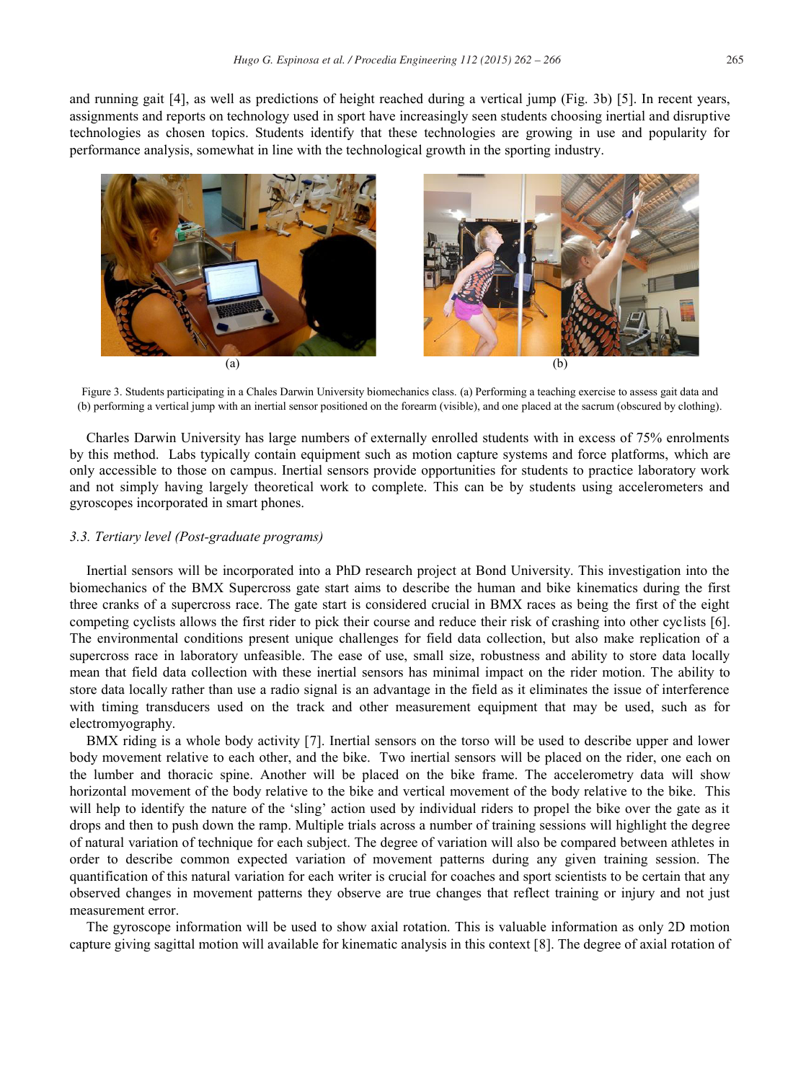and running gait [4], as well as predictions of height reached during a vertical jump (Fig. 3b) [5]. In recent years, assignments and reports on technology used in sport have increasingly seen students choosing inertial and disruptive technologies as chosen topics. Students identify that these technologies are growing in use and popularity for performance analysis, somewhat in line with the technological growth in the sporting industry.



Figure 3. Students participating in a Chales Darwin University biomechanics class. (a) Performing a teaching exercise to assess gait data and (b) performing a vertical jump with an inertial sensor positioned on the forearm (visible), and one placed at the sacrum (obscured by clothing).

Charles Darwin University has large numbers of externally enrolled students with in excess of 75% enrolments by this method. Labs typically contain equipment such as motion capture systems and force platforms, which are only accessible to those on campus. Inertial sensors provide opportunities for students to practice laboratory work and not simply having largely theoretical work to complete. This can be by students using accelerometers and gyroscopes incorporated in smart phones.

## *3.3. Tertiary level (Post-graduate programs)*

Inertial sensors will be incorporated into a PhD research project at Bond University. This investigation into the biomechanics of the BMX Supercross gate start aims to describe the human and bike kinematics during the first three cranks of a supercross race. The gate start is considered crucial in BMX races as being the first of the eight competing cyclists allows the first rider to pick their course and reduce their risk of crashing into other cyclists [6]. The environmental conditions present unique challenges for field data collection, but also make replication of a supercross race in laboratory unfeasible. The ease of use, small size, robustness and ability to store data locally mean that field data collection with these inertial sensors has minimal impact on the rider motion. The ability to store data locally rather than use a radio signal is an advantage in the field as it eliminates the issue of interference with timing transducers used on the track and other measurement equipment that may be used, such as for electromyography.

BMX riding is a whole body activity [7]. Inertial sensors on the torso will be used to describe upper and lower body movement relative to each other, and the bike. Two inertial sensors will be placed on the rider, one each on the lumber and thoracic spine. Another will be placed on the bike frame. The accelerometry data will show horizontal movement of the body relative to the bike and vertical movement of the body relative to the bike. This will help to identify the nature of the 'sling' action used by individual riders to propel the bike over the gate as it drops and then to push down the ramp. Multiple trials across a number of training sessions will highlight the degree of natural variation of technique for each subject. The degree of variation will also be compared between athletes in order to describe common expected variation of movement patterns during any given training session. The quantification of this natural variation for each writer is crucial for coaches and sport scientists to be certain that any observed changes in movement patterns they observe are true changes that reflect training or injury and not just measurement error.

The gyroscope information will be used to show axial rotation. This is valuable information as only 2D motion capture giving sagittal motion will available for kinematic analysis in this context [8]. The degree of axial rotation of